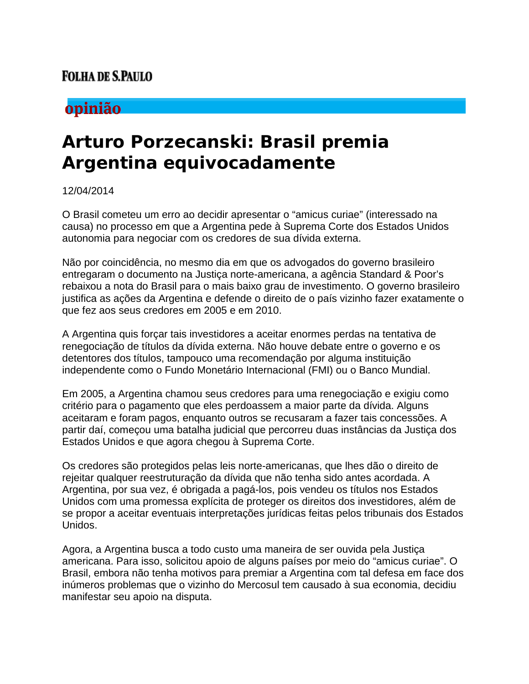### **FOLHA DE S.PAULO**

## opinião

# **Arturo Porzecanski: Brasil premia Argentina equivocadamente**

#### 12/04/2014

O Brasil cometeu um erro ao decidir apresentar o "amicus curiae" (interessado na causa) no processo em que a Argentina pede à Suprema Corte dos Estados Unidos autonomia para negociar com os credores de sua dívida externa.

Não por coincidência, no mesmo dia em que os advogados do governo brasileiro entregaram o documento na Justiça norte-americana, a agência Standard & Poor's rebaixou a nota do Brasil para o mais baixo grau de investimento. O governo brasileiro justifica as ações da Argentina e defende o direito de o país vizinho fazer exatamente o que fez aos seus credores em 2005 e em 2010.

A Argentina quis forçar tais investidores a aceitar enormes perdas na tentativa de renegociação de títulos da dívida externa. Não houve debate entre o governo e os detentores dos títulos, tampouco uma recomendação por alguma instituição independente como o Fundo Monetário Internacional (FMI) ou o Banco Mundial.

Em 2005, a Argentina chamou seus credores para uma renegociação e exigiu como critério para o pagamento que eles perdoassem a maior parte da dívida. Alguns aceitaram e foram pagos, enquanto outros se recusaram a fazer tais concessões. A partir daí, começou uma batalha judicial que percorreu duas instâncias da Justiça dos Estados Unidos e que agora chegou à Suprema Corte.

Os credores são protegidos pelas leis norte-americanas, que lhes dão o direito de rejeitar qualquer reestruturação da dívida que não tenha sido antes acordada. A Argentina, por sua vez, é obrigada a pagá-los, pois vendeu os títulos nos Estados Unidos com uma promessa explícita de proteger os direitos dos investidores, além de se propor a aceitar eventuais interpretações jurídicas feitas pelos tribunais dos Estados Unidos.

Agora, a Argentina busca a todo custo uma maneira de ser ouvida pela Justiça americana. Para isso, solicitou apoio de alguns países por meio do "amicus curiae". O Brasil, embora não tenha motivos para premiar a Argentina com tal defesa em face dos inúmeros problemas que o vizinho do Mercosul tem causado à sua economia, decidiu manifestar seu apoio na disputa.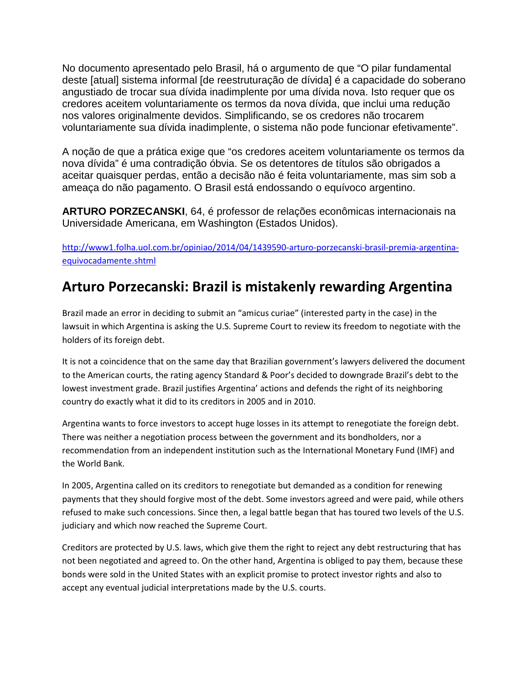No documento apresentado pelo Brasil, há o argumento de que "O pilar fundamental deste [atual] sistema informal [de reestruturação de dívida] é a capacidade do soberano angustiado de trocar sua dívida inadimplente por uma dívida nova. Isto requer que os credores aceitem voluntariamente os termos da nova dívida, que inclui uma redução nos valores originalmente devidos. Simplificando, se os credores não trocarem voluntariamente sua dívida inadimplente, o sistema não pode funcionar efetivamente".

A noção de que a prática exige que "os credores aceitem voluntariamente os termos da nova dívida" é uma contradição óbvia. Se os detentores de títulos são obrigados a aceitar quaisquer perdas, então a decisão não é feita voluntariamente, mas sim sob a ameaça do não pagamento. O Brasil está endossando o equívoco argentino.

**ARTURO PORZECANSKI**, 64, é professor de relações econômicas internacionais na Universidade Americana, em Washington (Estados Unidos).

[http://www1.folha.uol.com.br/opiniao/2014/04/1439590-arturo-porzecanski-brasil-premia-argentina](http://www1.folha.uol.com.br/opiniao/2014/04/1439590-arturo-porzecanski-brasil-premia-argentina-equivocadamente.shtml)[equivocadamente.shtml](http://www1.folha.uol.com.br/opiniao/2014/04/1439590-arturo-porzecanski-brasil-premia-argentina-equivocadamente.shtml)

## **Arturo Porzecanski: Brazil is mistakenly rewarding Argentina**

Brazil made an error in deciding to submit an "amicus curiae" (interested party in the case) in the lawsuit in which Argentina is asking the U.S. Supreme Court to review its freedom to negotiate with the holders of its foreign debt.

It is not a coincidence that on the same day that Brazilian government's lawyers delivered the document to the American courts, the rating agency Standard & Poor's decided to downgrade Brazil's debt to the lowest investment grade. Brazil justifies Argentina' actions and defends the right of its neighboring country do exactly what it did to its creditors in 2005 and in 2010.

Argentina wants to force investors to accept huge losses in its attempt to renegotiate the foreign debt. There was neither a negotiation process between the government and its bondholders, nor a recommendation from an independent institution such as the International Monetary Fund (IMF) and the World Bank.

In 2005, Argentina called on its creditors to renegotiate but demanded as a condition for renewing payments that they should forgive most of the debt. Some investors agreed and were paid, while others refused to make such concessions. Since then, a legal battle began that has toured two levels of the U.S. judiciary and which now reached the Supreme Court.

Creditors are protected by U.S. laws, which give them the right to reject any debt restructuring that has not been negotiated and agreed to. On the other hand, Argentina is obliged to pay them, because these bonds were sold in the United States with an explicit promise to protect investor rights and also to accept any eventual judicial interpretations made by the U.S. courts.